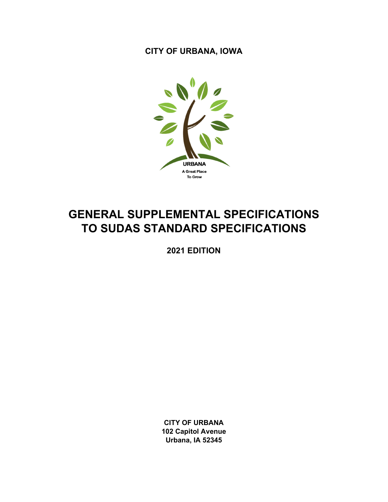**CITY OF URBANA, IOWA** 



# **GENERAL SUPPLEMENTAL SPECIFICATIONS TO SUDAS STANDARD SPECIFICATIONS**

**2021 EDITION** 

**CITY OF URBANA 102 Capitol Avenue Urbana, IA 52345**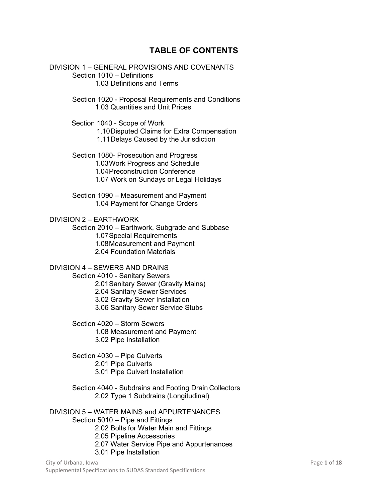## **TABLE OF CONTENTS**

DIVISION 1 – GENERAL PROVISIONS AND COVENANTS Section 1010 – Definitions 1.03 Definitions and Terms

> Section 1020 - Proposal Requirements and Conditions 1.03 Quantities and Unit Prices

Section 1040 - Scope of Work

1.10 Disputed Claims for Extra Compensation

1.11 Delays Caused by the Jurisdiction

Section 1080- Prosecution and Progress

1.03 Work Progress and Schedule

1.04 Preconstruction Conference

1.07 Work on Sundays or Legal Holidays

Section 1090 – Measurement and Payment 1.04 Payment for Change Orders

DIVISION 2 – EARTHWORK

Section 2010 – Earthwork, Subgrade and Subbase

1.07 Special Requirements

1.08 Measurement and Payment

2.04 Foundation Materials

## DIVISION 4 – SEWERS AND DRAINS

Section 4010 - Sanitary Sewers 2.01 Sanitary Sewer (Gravity Mains)

2.04 Sanitary Sewer Services

3.02 Gravity Sewer Installation

3.06 Sanitary Sewer Service Stubs

Section 4020 – Storm Sewers 1.08 Measurement and Payment 3.02 Pipe Installation

Section 4030 – Pipe Culverts 2.01 Pipe Culverts 3.01 Pipe Culvert Installation

Section 4040 - Subdrains and Footing Drain Collectors 2.02 Type 1 Subdrains (Longitudinal)

DIVISION 5 – WATER MAINS and APPURTENANCES Section 5010 – Pipe and Fittings 2.02 Bolts for Water Main and Fittings 2.05 Pipeline Accessories 2.07 Water Service Pipe and Appurtenances

3.01 Pipe Installation

City of Urbana, Iowa **Page 1** of **18** Oriental Association of **Page 1** of **18** Oriental Association of **Page 1** of **18** Supplemental Specifications to SUDAS Standard Specifications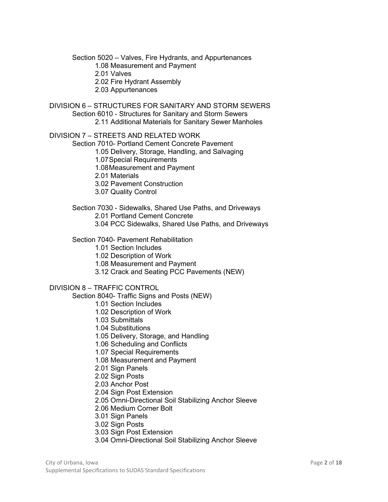Section 5020 – Valves, Fire Hydrants, and Appurtenances

1.08 Measurement and Payment

2.01 Valves

2.02 Fire Hydrant Assembly

2.03 Appurtenances

DIVISION 6 – STRUCTURES FOR SANITARY AND STORM SEWERS

Section 6010 - Structures for Sanitary and Storm Sewers

2.11 Additional Materials for Sanitary Sewer Manholes

DIVISION 7 – STREETS AND RELATED WORK

Section 7010- Portland Cement Concrete Pavement

1.05 Delivery, Storage, Handling, and Salvaging

1.07 Special Requirements

1.08 Measurement and Payment

2.01 Materials

3.02 Pavement Construction

3.07 Quality Control

Section 7030 - Sidewalks, Shared Use Paths, and Driveways

2.01 Portland Cement Concrete

3.04 PCC Sidewalks, Shared Use Paths, and Driveways

#### Section 7040- Pavement Rehabilitation

1.01 Section Includes

1.02 Description of Work

1.08 Measurement and Payment

3.12 Crack and Seating PCC Pavements (NEW)

#### DIVISION 8 – TRAFFIC CONTROL

Section 8040- Traffic Signs and Posts (NEW)

1.01 Section Includes

1.02 Description of Work

1.03 Submittals

1.04 Substitutions

1.05 Delivery, Storage, and Handling

1.06 Scheduling and Conflicts

1.07 Special Requirements

1.08 Measurement and Payment

2.01 Sign Panels

2.02 Sign Posts

2.03 Anchor Post

2.04 Sign Post Extension

2.05 Omni-Directional Soil Stabilizing Anchor Sleeve

2.06 Medium Corner Bolt

3.01 Sign Panels

3.02 Sign Posts

3.03 Sign Post Extension

3.04 Omni-Directional Soil Stabilizing Anchor Sleeve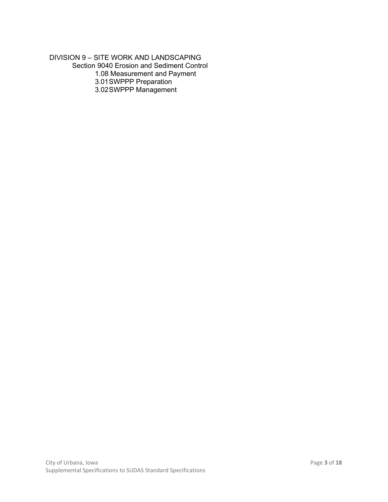DIVISION 9 – SITE WORK AND LANDSCAPING Section 9040 Erosion and Sediment Control 1.08 Measurement and Payment 3.01 SWPPP Preparation 3.02 SWPPP Management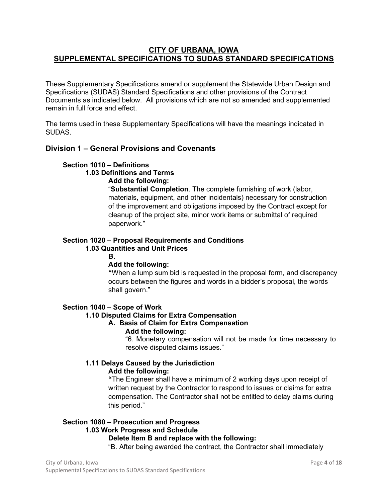## **CITY OF URBANA, IOWA SUPPLEMENTAL SPECIFICATIONS TO SUDAS STANDARD SPECIFICATIONS**

These Supplementary Specifications amend or supplement the Statewide Urban Design and Specifications (SUDAS) Standard Specifications and other provisions of the Contract Documents as indicated below. All provisions which are not so amended and supplemented remain in full force and effect.

The terms used in these Supplementary Specifications will have the meanings indicated in SUDAS.

## **Division 1 – General Provisions and Covenants**

## **Section 1010 – Definitions**

**1.03 Definitions and Terms** 

**Add the following:** 

"**Substantial Completion**. The complete furnishing of work (labor, materials, equipment, and other incidentals) necessary for construction of the improvement and obligations imposed by the Contract except for cleanup of the project site, minor work items or submittal of required paperwork."

## **Section 1020 – Proposal Requirements and Conditions**

## **1.03 Quantities and Unit Prices**

**B.** 

## **Add the following:**

**"**When a lump sum bid is requested in the proposal form, and discrepancy occurs between the figures and words in a bidder's proposal, the words shall govern."

#### **Section 1040 – Scope of Work**

#### **1.10 Disputed Claims for Extra Compensation**

#### **A. Basis of Claim for Extra Compensation Add the following:**

"6. Monetary compensation will not be made for time necessary to resolve disputed claims issues."

#### **1.11 Delays Caused by the Jurisdiction Add the following:**

**"**The Engineer shall have a minimum of 2 working days upon receipt of written request by the Contractor to respond to issues or claims for extra compensation. The Contractor shall not be entitled to delay claims during this period."

## **Section 1080 – Prosecution and Progress 1.03 Work Progress and Schedule**

## **Delete Item B and replace with the following:**

"B. After being awarded the contract, the Contractor shall immediately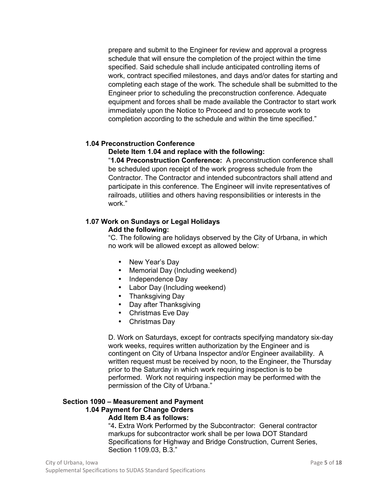prepare and submit to the Engineer for review and approval a progress schedule that will ensure the completion of the project within the time specified. Said schedule shall include anticipated controlling items of work, contract specified milestones, and days and/or dates for starting and completing each stage of the work. The schedule shall be submitted to the Engineer prior to scheduling the preconstruction conference. Adequate equipment and forces shall be made available the Contractor to start work immediately upon the Notice to Proceed and to prosecute work to completion according to the schedule and within the time specified."

## **1.04 Preconstruction Conference**

#### **Delete Item 1.04 and replace with the following:**

"**1.04 Preconstruction Conference:** A preconstruction conference shall be scheduled upon receipt of the work progress schedule from the Contractor. The Contractor and intended subcontractors shall attend and participate in this conference. The Engineer will invite representatives of railroads, utilities and others having responsibilities or interests in the work."

#### **1.07 Work on Sundays or Legal Holidays Add the following:**

"C. The following are holidays observed by the City of Urbana, in which no work will be allowed except as allowed below:

- New Year's Day
- Memorial Day (Including weekend)
- Independence Day
- Labor Day (Including weekend)
- Thanksgiving Day
- Day after Thanksgiving
- Christmas Eve Day
- Christmas Day

D. Work on Saturdays, except for contracts specifying mandatory six-day work weeks, requires written authorization by the Engineer and is contingent on City of Urbana Inspector and/or Engineer availability. A written request must be received by noon, to the Engineer, the Thursday prior to the Saturday in which work requiring inspection is to be performed. Work not requiring inspection may be performed with the permission of the City of Urbana."

## **Section 1090 – Measurement and Payment 1.04 Payment for Change Orders**

#### **Add Item B.4 as follows:**

"4**.** Extra Work Performed by the Subcontractor: General contractor markups for subcontractor work shall be per Iowa DOT Standard Specifications for Highway and Bridge Construction, Current Series, Section 1109.03, B.3."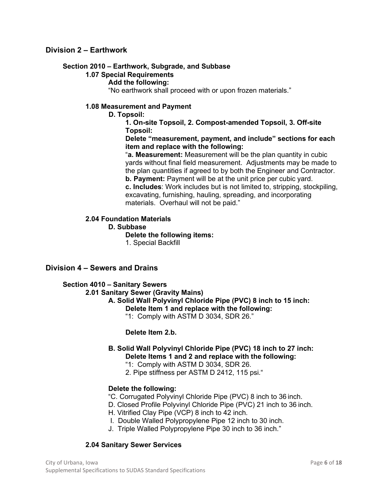## **Division 2 – Earthwork**

#### **Section 2010 – Earthwork, Subgrade, and Subbase**

#### **1.07 Special Requirements**

#### **Add the following:**

"No earthwork shall proceed with or upon frozen materials."

#### **1.08 Measurement and Payment**

**D. Topsoil:** 

**1. On-site Topsoil, 2. Compost-amended Topsoil, 3. Off-site Topsoil:** 

**Delete "measurement, payment, and include" sections for each item and replace with the following:** 

"**a. Measurement:** Measurement will be the plan quantity in cubic yards without final field measurement. Adjustments may be made to the plan quantities if agreed to by both the Engineer and Contractor. **b. Payment:** Payment will be at the unit price per cubic yard.

**c. Includes**: Work includes but is not limited to, stripping, stockpiling, excavating, furnishing, hauling, spreading, and incorporating materials. Overhaul will not be paid."

#### **2.04 Foundation Materials**

**D. Subbase** 

**Delete the following items:** 

1. Special Backfill

#### **Division 4 – Sewers and Drains**

#### **Section 4010 – Sanitary Sewers**

#### **2.01 Sanitary Sewer (Gravity Mains)**

**A. Solid Wall Polyvinyl Chloride Pipe (PVC) 8 inch to 15 inch: Delete Item 1 and replace with the following:** 

"1: Comply with ASTM D 3034, SDR 26."

#### **Delete Item 2.b.**

## **B. Solid Wall Polyvinyl Chloride Pipe (PVC) 18 inch to 27 inch: Delete Items 1 and 2 and replace with the following:**

"1: Comply with ASTM D 3034, SDR 26.

2. Pipe stiffness per ASTM D 2412, 115 psi."

#### **Delete the following:**

- "C. Corrugated Polyvinyl Chloride Pipe (PVC) 8 inch to 36 inch.
- D. Closed Profile Polyvinyl Chloride Pipe (PVC) 21 inch to 36 inch.
- H. Vitrified Clay Pipe (VCP) 8 inch to 42 inch.
- I. Double Walled Polypropylene Pipe 12 inch to 30 inch.
- J. Triple Walled Polypropylene Pipe 30 inch to 36 inch."

#### **2.04 Sanitary Sewer Services**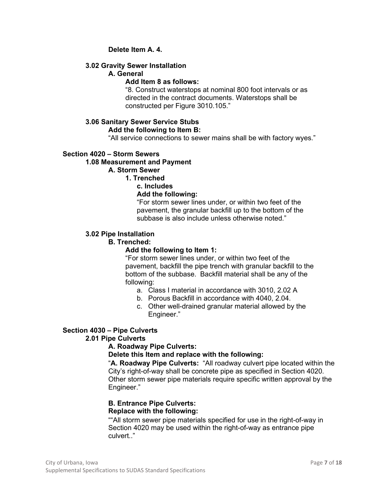## **Delete Item A. 4.**

## **3.02 Gravity Sewer Installation**

## **A. General**

#### **Add Item 8 as follows:**

"8. Construct waterstops at nominal 800 foot intervals or as directed in the contract documents. Waterstops shall be constructed per Figure 3010.105."

## **3.06 Sanitary Sewer Service Stubs**

## **Add the following to Item B:**

"All service connections to sewer mains shall be with factory wyes."

## **Section 4020 – Storm Sewers**

#### **1.08 Measurement and Payment**

## **A. Storm Sewer**

#### **1. Trenched**

#### **c. Includes**

#### **Add the following:**

"For storm sewer lines under, or within two feet of the pavement, the granular backfill up to the bottom of the subbase is also include unless otherwise noted."

#### **3.02 Pipe Installation**

## **B. Trenched:**

## **Add the following to Item 1:**

"For storm sewer lines under, or within two feet of the pavement, backfill the pipe trench with granular backfill to the bottom of the subbase. Backfill material shall be any of the following:

- a. Class I material in accordance with 3010, 2.02 A
- b. Porous Backfill in accordance with 4040, 2.04.
- c. Other well-drained granular material allowed by the Engineer."

## **Section 4030 – Pipe Culverts**

## **2.01 Pipe Culverts**

## **A. Roadway Pipe Culverts:**

#### **Delete this Item and replace with the following:**

"**A. Roadway Pipe Culverts:** "All roadway culvert pipe located within the City's right-of-way shall be concrete pipe as specified in Section 4020. Other storm sewer pipe materials require specific written approval by the Engineer."

#### **B. Entrance Pipe Culverts: Replace with the following:**

""All storm sewer pipe materials specified for use in the right-of-way in Section 4020 may be used within the right-of-way as entrance pipe culvert.."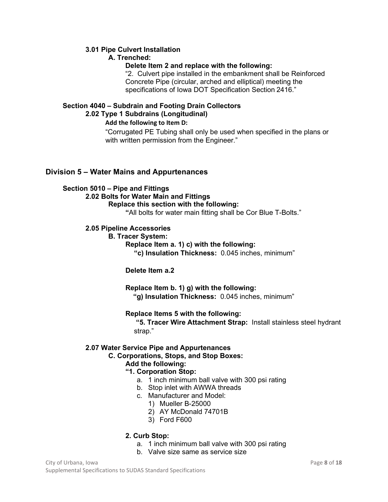## **3.01 Pipe Culvert Installation**

## **A. Trenched:**

## **Delete Item 2 and replace with the following:**

"2. Culvert pipe installed in the embankment shall be Reinforced Concrete Pipe (circular, arched and elliptical) meeting the specifications of Iowa DOT Specification Section 2416."

## **Section 4040 – Subdrain and Footing Drain Collectors 2.02 Type 1 Subdrains (Longitudinal)**

## **Add the following to Item D:**

"Corrugated PE Tubing shall only be used when specified in the plans or with written permission from the Engineer."

## **Division 5 – Water Mains and Appurtenances**

## **Section 5010 – Pipe and Fittings**

## **2.02 Bolts for Water Main and Fittings**

## **Replace this section with the following:**

**"**All bolts for water main fitting shall be Cor Blue T-Bolts."

## **2.05 Pipeline Accessories**

## **B. Tracer System:**

**Replace Item a. 1) c) with the following:** 

**"c) Insulation Thickness:** 0.045 inches, minimum"

## **Delete Item a.2**

## **Replace Item b. 1) g) with the following:**

 **"g) Insulation Thickness:** 0.045 inches, minimum"

## **Replace Items 5 with the following:**

 **"5. Tracer Wire Attachment Strap:** Install stainless steel hydrant strap."

## **2.07 Water Service Pipe and Appurtenances**

## **C. Corporations, Stops, and Stop Boxes:**

## **Add the following:**

## **"1. Corporation Stop:**

- a. 1 inch minimum ball valve with 300 psi rating
- b. Stop inlet with AWWA threads
- c. Manufacturer and Model:
	- 1) Mueller B-25000
	- 2) AY McDonald 74701B
	- 3) Ford F600

## **2. Curb Stop:**

- a. 1 inch minimum ball valve with 300 psi rating
- b. Valve size same as service size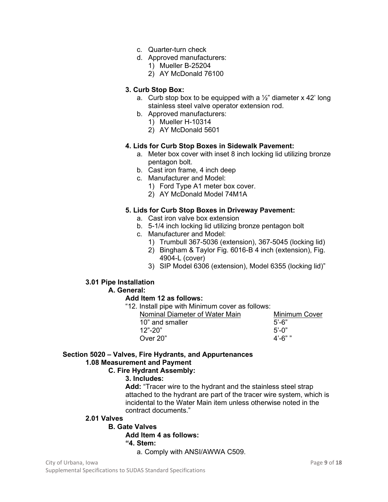- c. Quarter-turn check
- d. Approved manufacturers:
	- 1) Mueller B-25204
	- 2) AY McDonald 76100

## **3. Curb Stop Box:**

- a. Curb stop box to be equipped with a  $\frac{1}{2}$ " diameter x 42' long stainless steel valve operator extension rod.
- b. Approved manufacturers:
	- 1) Mueller H-10314
	- 2) AY McDonald 5601

## **4. Lids for Curb Stop Boxes in Sidewalk Pavement:**

- a. Meter box cover with inset 8 inch locking lid utilizing bronze pentagon bolt.
- b. Cast iron frame, 4 inch deep
- c. Manufacturer and Model:
	- 1) Ford Type A1 meter box cover.
	- 2) AY McDonald Model 74M1A

## **5. Lids for Curb Stop Boxes in Driveway Pavement:**

- a. Cast iron valve box extension
- b. 5-1/4 inch locking lid utilizing bronze pentagon bolt
- c. Manufacturer and Model:
	- 1) Trumbull 367-5036 (extension), 367-5045 (locking lid)
	- 2) Bingham & Taylor Fig. 6016-B 4 inch (extension), Fig. 4904-L (cover)
	- 3) SIP Model 6306 (extension), Model 6355 (locking lid)"

## **3.01 Pipe Installation**

#### **A. General:**

#### **Add Item 12 as follows:**

"12. Install pipe with Minimum cover as follows:

| Nominal Diameter of Water Main | <b>Minimum Cover</b> |
|--------------------------------|----------------------|
| 10" and smaller                | $5'$ -6"             |
| $12" - 20"$                    | $5'$ -0"             |
| Over 20"                       | 4'-6" "              |

## **Section 5020 – Valves, Fire Hydrants, and Appurtenances 1.08 Measurement and Payment**

## **C. Fire Hydrant Assembly:**

## **3. Includes:**

**Add:** "Tracer wire to the hydrant and the stainless steel strap attached to the hydrant are part of the tracer wire system, which is incidental to the Water Main item unless otherwise noted in the contract documents."

## **2.01 Valves**

## **B. Gate Valves**

**Add Item 4 as follows:** 

## **"4. Stem:**

a. Comply with ANSI/AWWA C509.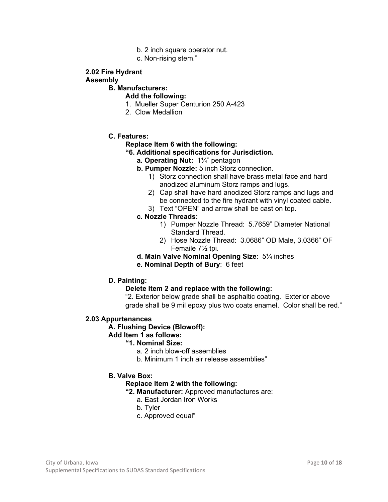- b. 2 inch square operator nut.
- c. Non-rising stem."

## **2.02 Fire Hydrant**

#### **Assembly**

## **B. Manufacturers:**

## **Add the following:**

- 1. Mueller Super Centurion 250 A-423
- 2. Clow Medallion

## **C. Features:**

#### **Replace Item 6 with the following:**

#### **"6. Additional specifications for Jurisdiction.**

**a. Operating Nut:** 1¼" pentagon

## **b. Pumper Nozzle:** 5 inch Storz connection.

- 1) Storz connection shall have brass metal face and hard anodized aluminum Storz ramps and lugs.
- 2) Cap shall have hard anodized Storz ramps and lugs and be connected to the fire hydrant with vinyl coated cable.
- 3) Text "OPEN" and arrow shall be cast on top.

## **c. Nozzle Threads:**

- 1) Pumper Nozzle Thread: 5.7659" Diameter National Standard Thread.
- 2) Hose Nozzle Thread: 3.0686" OD Male, 3.0366" OF Femaile 7½ tpi.
- **d. Main Valve Nominal Opening Size**: 5¼ inches
- **e. Nominal Depth of Bury**: 6 feet

#### **D. Painting:**

#### **Delete Item 2 and replace with the following:**

"2. Exterior below grade shall be asphaltic coating. Exterior above grade shall be 9 mil epoxy plus two coats enamel. Color shall be red."

#### **2.03 Appurtenances**

#### **A. Flushing Device (Blowoff):**

## **Add Item 1 as follows:**

## **"1. Nominal Size:**

- a. 2 inch blow-off assemblies
- b. Minimum 1 inch air release assemblies"

## **B. Valve Box:**

#### **Replace Item 2 with the following:**

- **"2. Manufacturer:** Approved manufactures are:
	- a. East Jordan Iron Works
	- b. Tyler
	- c. Approved equal"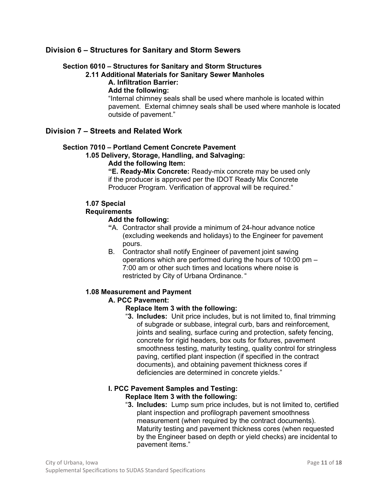## **Division 6 – Structures for Sanitary and Storm Sewers**

## **Section 6010 – Structures for Sanitary and Storm Structures**

## **2.11 Additional Materials for Sanitary Sewer Manholes**

## **A. Infiltration Barrier:**

## **Add the following:**

"Internal chimney seals shall be used where manhole is located within pavement. External chimney seals shall be used where manhole is located outside of pavement."

## **Division 7 – Streets and Related Work**

#### **Section 7010 – Portland Cement Concrete Pavement**

## **1.05 Delivery, Storage, Handling, and Salvaging:**

## **Add the following Item:**

**"E. Ready-Mix Concrete:** Ready-mix concrete may be used only if the producer is approved per the IDOT Ready Mix Concrete Producer Program. Verification of approval will be required."

#### **1.07 Special**

#### **Requirements**

## **Add the following:**

- **"**A. Contractor shall provide a minimum of 24-hour advance notice (excluding weekends and holidays) to the Engineer for pavement pours.
- B. Contractor shall notify Engineer of pavement joint sawing operations which are performed during the hours of 10:00 pm – 7:00 am or other such times and locations where noise is restricted by City of Urbana Ordinance. "

#### **1.08 Measurement and Payment**

## **A. PCC Pavement:**

#### **Replace Item 3 with the following:**

"**3. Includes:** Unit price includes, but is not limited to, final trimming of subgrade or subbase, integral curb, bars and reinforcement, joints and sealing, surface curing and protection, safety fencing, concrete for rigid headers, box outs for fixtures, pavement smoothness testing, maturity testing, quality control for stringless paving, certified plant inspection (if specified in the contract documents), and obtaining pavement thickness cores if deficiencies are determined in concrete yields."

#### **I. PCC Pavement Samples and Testing: Replace Item 3 with the following:**

"**3. Includes:** Lump sum price includes, but is not limited to, certified plant inspection and profilograph pavement smoothness measurement (when required by the contract documents). Maturity testing and pavement thickness cores (when requested by the Engineer based on depth or yield checks) are incidental to pavement items."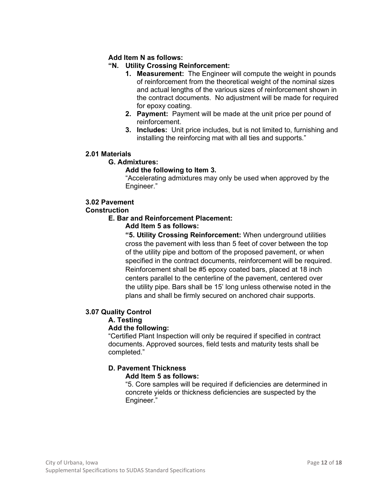## **Add Item N as follows:**

## **"N. Utility Crossing Reinforcement:**

- **1. Measurement:** The Engineer will compute the weight in pounds of reinforcement from the theoretical weight of the nominal sizes and actual lengths of the various sizes of reinforcement shown in the contract documents. No adjustment will be made for required for epoxy coating.
- **2. Payment:** Payment will be made at the unit price per pound of reinforcement.
- **3. Includes:** Unit price includes, but is not limited to, furnishing and installing the reinforcing mat with all ties and supports."

## **2.01 Materials**

## **G. Admixtures:**

## **Add the following to Item 3.**

"Accelerating admixtures may only be used when approved by the Engineer."

## **3.02 Pavement**

## **Construction**

**E. Bar and Reinforcement Placement:** 

## **Add Item 5 as follows:**

**"5. Utility Crossing Reinforcement:** When underground utilities cross the pavement with less than 5 feet of cover between the top of the utility pipe and bottom of the proposed pavement, or when specified in the contract documents, reinforcement will be required. Reinforcement shall be #5 epoxy coated bars, placed at 18 inch centers parallel to the centerline of the pavement, centered over the utility pipe. Bars shall be 15' long unless otherwise noted in the plans and shall be firmly secured on anchored chair supports.

## **3.07 Quality Control**

#### **A. Testing**

## **Add the following:**

"Certified Plant Inspection will only be required if specified in contract documents. Approved sources, field tests and maturity tests shall be completed."

## **D. Pavement Thickness**

## **Add Item 5 as follows:**

"5. Core samples will be required if deficiencies are determined in concrete yields or thickness deficiencies are suspected by the Engineer."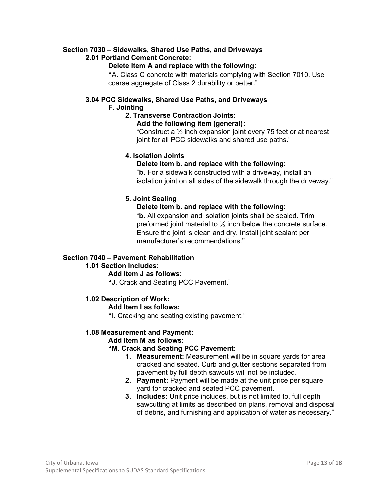## **Section 7030 – Sidewalks, Shared Use Paths, and Driveways**

## **2.01 Portland Cement Concrete:**

## **Delete Item A and replace with the following:**

**"**A. Class C concrete with materials complying with Section 7010. Use coarse aggregate of Class 2 durability or better."

## **3.04 PCC Sidewalks, Shared Use Paths, and Driveways**

## **F. Jointing**

## **2. Transverse Contraction Joints:**

**Add the following item (general):** 

"Construct a ½ inch expansion joint every 75 feet or at nearest joint for all PCC sidewalks and shared use paths."

## **4. Isolation Joints**

## **Delete Item b. and replace with the following:**

"**b.** For a sidewalk constructed with a driveway, install an isolation joint on all sides of the sidewalk through the driveway."

## **5. Joint Sealing**

## **Delete Item b. and replace with the following:**

"**b.** All expansion and isolation joints shall be sealed. Trim preformed joint material to  $\frac{1}{2}$  inch below the concrete surface. Ensure the joint is clean and dry. Install joint sealant per manufacturer's recommendations."

## **Section 7040 – Pavement Rehabilitation**

#### **1.01 Section Includes:**

## **Add Item J as follows:**

**"**J. Crack and Seating PCC Pavement."

## **1.02 Description of Work:**

#### **Add Item I as follows:**

**"**I. Cracking and seating existing pavement."

## **1.08 Measurement and Payment:**

#### **Add Item M as follows:**

## **"M. Crack and Seating PCC Pavement:**

- **1. Measurement:** Measurement will be in square yards for area cracked and seated. Curb and gutter sections separated from pavement by full depth sawcuts will not be included.
- **2. Payment:** Payment will be made at the unit price per square yard for cracked and seated PCC pavement.
- **3. Includes:** Unit price includes, but is not limited to, full depth sawcutting at limits as described on plans, removal and disposal of debris, and furnishing and application of water as necessary."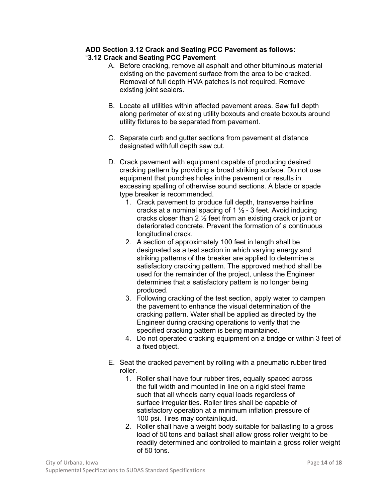#### **ADD Section 3.12 Crack and Seating PCC Pavement as follows:**  "**3.12 Crack and Seating PCC Pavement**

- A. Before cracking, remove all asphalt and other bituminous material existing on the pavement surface from the area to be cracked. Removal of full depth HMA patches is not required. Remove existing joint sealers.
- B. Locate all utilities within affected pavement areas. Saw full depth along perimeter of existing utility boxouts and create boxouts around utility fixtures to be separated from pavement.
- C. Separate curb and gutter sections from pavement at distance designated with full depth saw cut.
- D. Crack pavement with equipment capable of producing desired cracking pattern by providing a broad striking surface. Do not use equipment that punches holes in the pavement or results in excessing spalling of otherwise sound sections. A blade or spade type breaker is recommended.
	- 1. Crack pavement to produce full depth, transverse hairline cracks at a nominal spacing of 1  $\frac{1}{2}$  - 3 feet. Avoid inducing cracks closer than 2 ½ feet from an existing crack or joint or deteriorated concrete. Prevent the formation of a continuous longitudinal crack.
	- 2. A section of approximately 100 feet in length shall be designated as a test section in which varying energy and striking patterns of the breaker are applied to determine a satisfactory cracking pattern. The approved method shall be used for the remainder of the project, unless the Engineer determines that a satisfactory pattern is no longer being produced.
	- 3. Following cracking of the test section, apply water to dampen the pavement to enhance the visual determination of the cracking pattern. Water shall be applied as directed by the Engineer during cracking operations to verify that the specified cracking pattern is being maintained.
	- 4. Do not operated cracking equipment on a bridge or within 3 feet of a fixed object.
- E. Seat the cracked pavement by rolling with a pneumatic rubber tired roller.
	- 1. Roller shall have four rubber tires, equally spaced across the full width and mounted in line on a rigid steel frame such that all wheels carry equal loads regardless of surface irregularities. Roller tires shall be capable of satisfactory operation at a minimum inflation pressure of 100 psi. Tires may contain liquid.
	- 2. Roller shall have a weight body suitable for ballasting to a gross load of 50 tons and ballast shall allow gross roller weight to be readily determined and controlled to maintain a gross roller weight of 50 tons.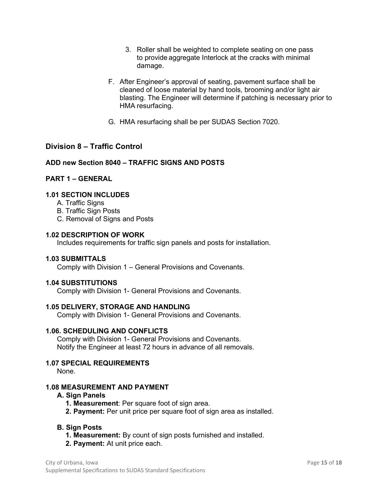- 3. Roller shall be weighted to complete seating on one pass to provide aggregate Interlock at the cracks with minimal damage.
- F. After Engineer's approval of seating, pavement surface shall be cleaned of loose material by hand tools, brooming and/or light air blasting. The Engineer will determine if patching is necessary prior to HMA resurfacing.
- G. HMA resurfacing shall be per SUDAS Section 7020.

## **Division 8 – Traffic Control**

#### **ADD new Section 8040 – TRAFFIC SIGNS AND POSTS**

## **PART 1 – GENERAL**

#### **1.01 SECTION INCLUDES**

- A. Traffic Signs
- B. Traffic Sign Posts
- C. Removal of Signs and Posts

#### **1.02 DESCRIPTION OF WORK**

Includes requirements for traffic sign panels and posts for installation.

## **1.03 SUBMITTALS**

Comply with Division 1 – General Provisions and Covenants.

#### **1.04 SUBSTITUTIONS**

Comply with Division 1- General Provisions and Covenants.

#### **1.05 DELIVERY, STORAGE AND HANDLING**

Comply with Division 1- General Provisions and Covenants.

## **1.06. SCHEDULING AND CONFLICTS**

Comply with Division 1- General Provisions and Covenants. Notify the Engineer at least 72 hours in advance of all removals.

## **1.07 SPECIAL REQUIREMENTS**

None.

#### **1.08 MEASUREMENT AND PAYMENT**

#### **A. Sign Panels**

- **1. Measurement**: Per square foot of sign area.
- **2. Payment:** Per unit price per square foot of sign area as installed.

#### **B. Sign Posts**

- **1. Measurement:** By count of sign posts furnished and installed.
- **2. Payment:** At unit price each.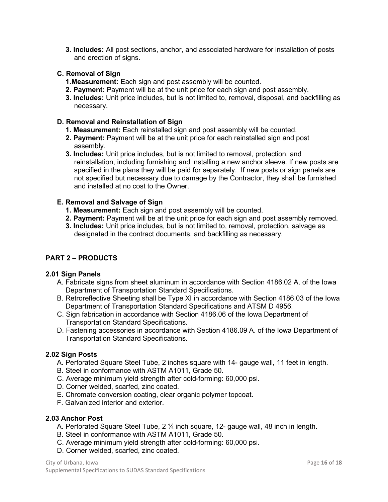**3. Includes:** All post sections, anchor, and associated hardware for installation of posts and erection of signs.

## **C. Removal of Sign**

- **1.Measurement:** Each sign and post assembly will be counted.
- **2. Payment:** Payment will be at the unit price for each sign and post assembly.
- **3. Includes:** Unit price includes, but is not limited to, removal, disposal, and backfilling as necessary.

## **D. Removal and Reinstallation of Sign**

- **1. Measurement:** Each reinstalled sign and post assembly will be counted.
- **2. Payment:** Payment will be at the unit price for each reinstalled sign and post assembly.
- **3. Includes:** Unit price includes, but is not limited to removal, protection, and reinstallation, including furnishing and installing a new anchor sleeve. If new posts are specified in the plans they will be paid for separately. If new posts or sign panels are not specified but necessary due to damage by the Contractor, they shall be furnished and installed at no cost to the Owner.

## **E. Removal and Salvage of Sign**

- **1. Measurement:** Each sign and post assembly will be counted.
- **2. Payment:** Payment will be at the unit price for each sign and post assembly removed.
- **3. Includes:** Unit price includes, but is not limited to, removal, protection, salvage as designated in the contract documents, and backfilling as necessary.

## **PART 2 – PRODUCTS**

#### **2.01 Sign Panels**

- A. Fabricate signs from sheet aluminum in accordance with Section 4186.02 A. of the Iowa Department of Transportation Standard Specifications.
- B. Retroreflective Sheeting shall be Type XI in accordance with Section 4186.03 of the Iowa Department of Transportation Standard Specifications and ATSM D 4956.
- C. Sign fabrication in accordance with Section 4186.06 of the Iowa Department of Transportation Standard Specifications.
- D. Fastening accessories in accordance with Section 4186.09 A. of the Iowa Department of Transportation Standard Specifications.

## **2.02 Sign Posts**

- A. Perforated Square Steel Tube, 2 inches square with 14- gauge wall, 11 feet in length.
- B. Steel in conformance with ASTM A1011, Grade 50.
- C. Average minimum yield strength after cold-forming: 60,000 psi.
- D. Corner welded, scarfed, zinc coated.
- E. Chromate conversion coating, clear organic polymer topcoat.
- F. Galvanized interior and exterior.

#### **2.03 Anchor Post**

- A. Perforated Square Steel Tube, 2 ¼ inch square, 12- gauge wall, 48 inch in length.
- B. Steel in conformance with ASTM A1011, Grade 50.
- C. Average minimum yield strength after cold-forming: 60,000 psi.
- D. Corner welded, scarfed, zinc coated.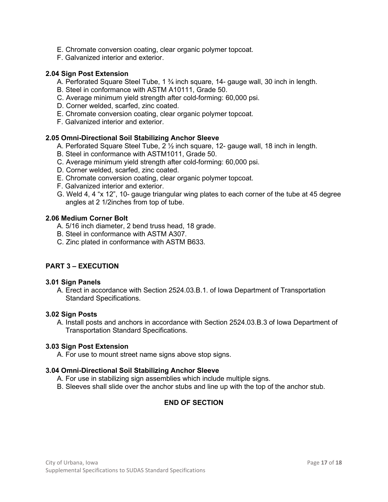- E. Chromate conversion coating, clear organic polymer topcoat.
- F. Galvanized interior and exterior.

## **2.04 Sign Post Extension**

- A. Perforated Square Steel Tube,  $1\frac{3}{4}$  inch square, 14- gauge wall, 30 inch in length.
- B. Steel in conformance with ASTM A10111, Grade 50.
- C. Average minimum yield strength after cold-forming: 60,000 psi.
- D. Corner welded, scarfed, zinc coated.
- E. Chromate conversion coating, clear organic polymer topcoat.
- F. Galvanized interior and exterior.

## **2.05 Omni-Directional Soil Stabilizing Anchor Sleeve**

- A. Perforated Square Steel Tube, 2 ½ inch square, 12- gauge wall, 18 inch in length.
- B. Steel in conformance with ASTM1011, Grade 50.
- C. Average minimum yield strength after cold-forming: 60,000 psi.
- D. Corner welded, scarfed, zinc coated.
- E. Chromate conversion coating, clear organic polymer topcoat.
- F. Galvanized interior and exterior.
- G. Weld 4, 4 "x 12", 10- gauge triangular wing plates to each corner of the tube at 45 degree angles at 2 1/2inches from top of tube.

## **2.06 Medium Corner Bolt**

- A. 5/16 inch diameter, 2 bend truss head, 18 grade.
- B. Steel in conformance with ASTM A307.
- C. Zinc plated in conformance with ASTM B633.

## **PART 3 – EXECUTION**

#### **3.01 Sign Panels**

A. Erect in accordance with Section 2524.03.B.1. of Iowa Department of Transportation Standard Specifications.

#### **3.02 Sign Posts**

A. Install posts and anchors in accordance with Section 2524.03.B.3 of Iowa Department of Transportation Standard Specifications.

#### **3.03 Sign Post Extension**

A. For use to mount street name signs above stop signs.

#### **3.04 Omni-Directional Soil Stabilizing Anchor Sleeve**

- A. For use in stabilizing sign assemblies which include multiple signs.
- B. Sleeves shall slide over the anchor stubs and line up with the top of the anchor stub.

## **END OF SECTION**